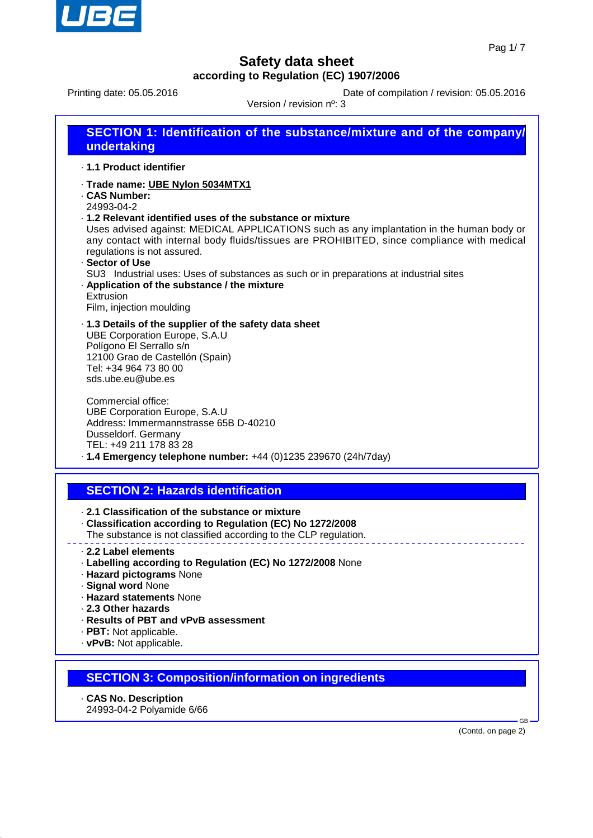

Printing date: 05.05.2016 <br>
Date of compilation / revision: 05.05.2016

 $V_{\text{exalon}}$  / revision  $\theta$ : 3

| VEISION / TEVISION N°. 3                                                                                                                                                                                                                                                                                                                                                                                                                                                                                                                                          |  |  |  |
|-------------------------------------------------------------------------------------------------------------------------------------------------------------------------------------------------------------------------------------------------------------------------------------------------------------------------------------------------------------------------------------------------------------------------------------------------------------------------------------------------------------------------------------------------------------------|--|--|--|
| <b>SECTION 1: Identification of the substance/mixture and of the company/</b><br>undertaking                                                                                                                                                                                                                                                                                                                                                                                                                                                                      |  |  |  |
| .1.1 Product identifier                                                                                                                                                                                                                                                                                                                                                                                                                                                                                                                                           |  |  |  |
| · Trade name: UBE Nylon 5034MTX1<br><b>CAS Number:</b><br>24993-04-2<br>.1.2 Relevant identified uses of the substance or mixture<br>Uses advised against: MEDICAL APPLICATIONS such as any implantation in the human body or<br>any contact with internal body fluids/tissues are PROHIBITED, since compliance with medical<br>regulations is not assured.<br>- Sector of Use<br>SU3 Industrial uses: Uses of substances as such or in preparations at industrial sites<br>. Application of the substance / the mixture<br>Extrusion<br>Film, injection moulding |  |  |  |
| 1.3 Details of the supplier of the safety data sheet<br><b>UBE Corporation Europe, S.A.U</b><br>Polígono El Serrallo s/n<br>12100 Grao de Castellón (Spain)<br>Tel: +34 964 73 80 00<br>sds.ube.eu@ube.es                                                                                                                                                                                                                                                                                                                                                         |  |  |  |

Commercial office: UBE Corporation Europe, S.A.U Address: Immermannstrasse 65B D-40210 Dusseldorf. Germany TEL: +49 211 178 83 28 · **1.4 Emergency telephone number:** +44 (0)1235 239670 (24h/7day)

## **SECTION 2: Hazards identification**

· **2.1 Classification of the substance or mixture**

- · **Classification according to Regulation (EC) No 1272/2008** The substance is not classified according to the CLP regulation.
- · **2.2 Label elements**
- · **Labelling according to Regulation (EC) No 1272/2008** None
- · **Hazard pictograms** None
- · **Signal word** None
- · **Hazard statements** None

· **2.3 Other hazards**

- · **Results of PBT and vPvB assessment**
- · **PBT:** Not applicable.
- · **vPvB:** Not applicable.

## **SECTION 3: Composition/information on ingredients**

- · **CAS No. Description**
- 24993-04-2 Polyamide 6/66

(Contd. on page 2)

GB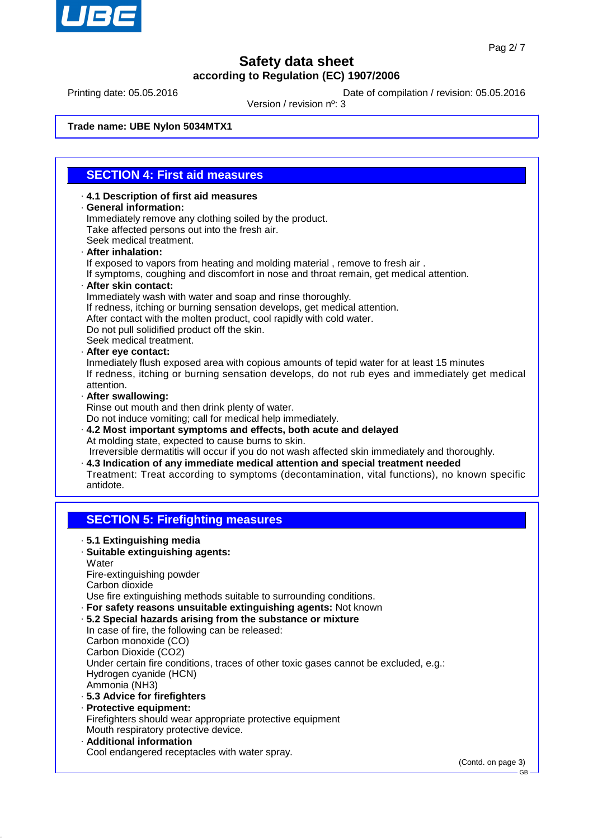

Printing date: 05.05.2016 **Date of compilation / revision: 05.05.2016** 

Version / revision nº: 3

**Trade name: UBE Nylon 5034MTX1**

### **SECTION 4: First aid measures**

· **4.1 Description of first aid measures** · **General information:** Immediately remove any clothing soiled by the product. Take affected persons out into the fresh air. Seek medical treatment.

#### · **After inhalation:**

If exposed to vapors from heating and molding material , remove to fresh air .

If symptoms, coughing and discomfort in nose and throat remain, get medical attention.

#### · **After skin contact:**

Immediately wash with water and soap and rinse thoroughly.

- If redness, itching or burning sensation develops, get medical attention.
- After contact with the molten product, cool rapidly with cold water.
- Do not pull solidified product off the skin.

Seek medical treatment.

#### · **After eye contact:**

Inmediately flush exposed area with copious amounts of tepid water for at least 15 minutes If redness, itching or burning sensation develops, do not rub eyes and immediately get medical attention.

#### · **After swallowing:**

Rinse out mouth and then drink plenty of water.

Do not induce vomiting; call for medical help immediately.

· **4.2 Most important symptoms and effects, both acute and delayed** At molding state, expected to cause burns to skin.

 Irreversible dermatitis will occur if you do not wash affected skin immediately and thoroughly. · **4.3 Indication of any immediate medical attention and special treatment needed**

Treatment: Treat according to symptoms (decontamination, vital functions), no known specific antidote.

## **SECTION 5: Firefighting measures**

- · **5.1 Extinguishing media** · **Suitable extinguishing agents: Water** Fire-extinguishing powder Carbon dioxide Use fire extinguishing methods suitable to surrounding conditions. · **For safety reasons unsuitable extinguishing agents:** Not known · **5.2 Special hazards arising from the substance or mixture** In case of fire, the following can be released: Carbon monoxide (CO) Carbon Dioxide (CO2) Under certain fire conditions, traces of other toxic gases cannot be excluded, e.g.: Hydrogen cyanide (HCN) Ammonia (NH3) · **5.3 Advice for firefighters**
- · **Protective equipment:** Firefighters should wear appropriate protective equipment Mouth respiratory protective device. · **Additional information**
- Cool endangered receptacles with water spray.

(Contd. on page 3)

**GB**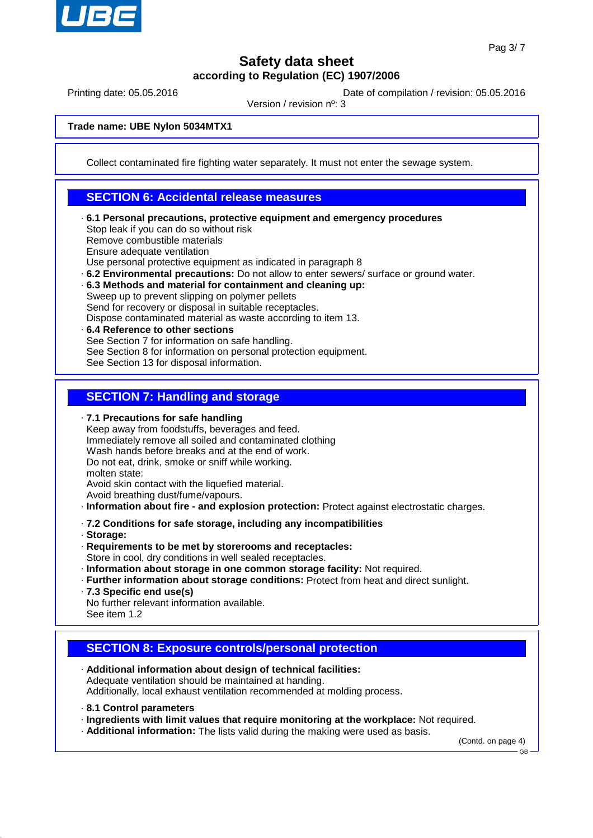

Printing date: 05.05.2016 **Date of compilation / revision: 05.05.2016** 

Version / revision nº: 3

**Trade name: UBE Nylon 5034MTX1**

Collect contaminated fire fighting water separately. It must not enter the sewage system.

### **SECTION 6: Accidental release measures**

- · **6.1 Personal precautions, protective equipment and emergency procedures** Stop leak if you can do so without risk Remove combustible materials Ensure adequate ventilation Use personal protective equipment as indicated in paragraph 8
- · **6.2 Environmental precautions:** Do not allow to enter sewers/ surface or ground water.
- · **6.3 Methods and material for containment and cleaning up:** Sweep up to prevent slipping on polymer pellets

Send for recovery or disposal in suitable receptacles.

- Dispose contaminated material as waste according to item 13.
- · **6.4 Reference to other sections** See Section 7 for information on safe handling. See Section 8 for information on personal protection equipment. See Section 13 for disposal information.

### **SECTION 7: Handling and storage**

· **7.1 Precautions for safe handling**

- Keep away from foodstuffs, beverages and feed. Immediately remove all soiled and contaminated clothing Wash hands before breaks and at the end of work. Do not eat, drink, smoke or sniff while working. molten state: Avoid skin contact with the liquefied material.
- Avoid breathing dust/fume/vapours.
- · **Information about fire and explosion protection:** Protect against electrostatic charges.
- · **7.2 Conditions for safe storage, including any incompatibilities**
- · **Storage:**
- · **Requirements to be met by storerooms and receptacles:**
- Store in cool, dry conditions in well sealed receptacles.
- · **Information about storage in one common storage facility:** Not required.
- · **Further information about storage conditions:** Protect from heat and direct sunlight.
- · **7.3 Specific end use(s)**
- No further relevant information available. See item 1.2
- **SECTION 8: Exposure controls/personal protection**
- · **Additional information about design of technical facilities:** Adequate ventilation should be maintained at handing. Additionally, local exhaust ventilation recommended at molding process.
- · **8.1 Control parameters**
- · **Ingredients with limit values that require monitoring at the workplace:** Not required.
- · **Additional information:** The lists valid during the making were used as basis.

(Contd. on page 4)

GB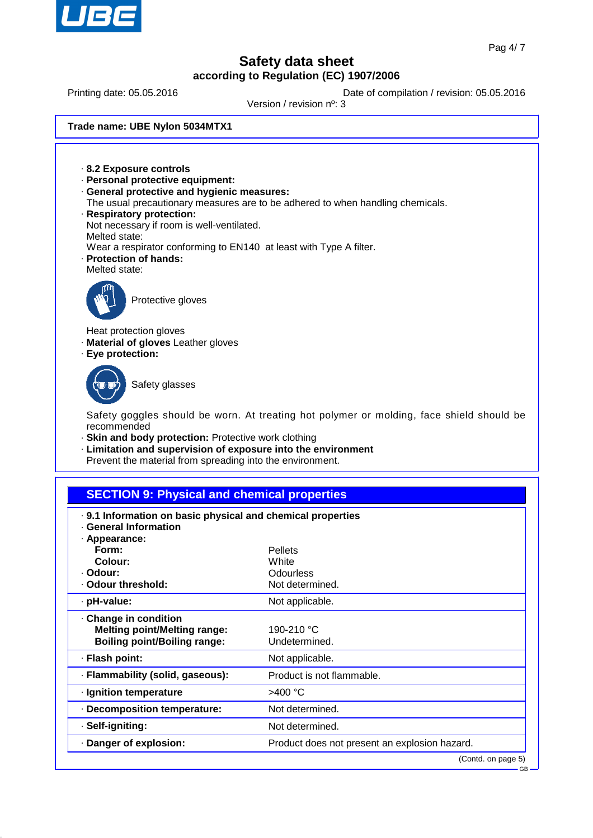

Printing date: 05.05.2016 **Date of compilation / revision: 05.05.2016** 

Version / revision nº: 3

**Trade name: UBE Nylon 5034MTX1**

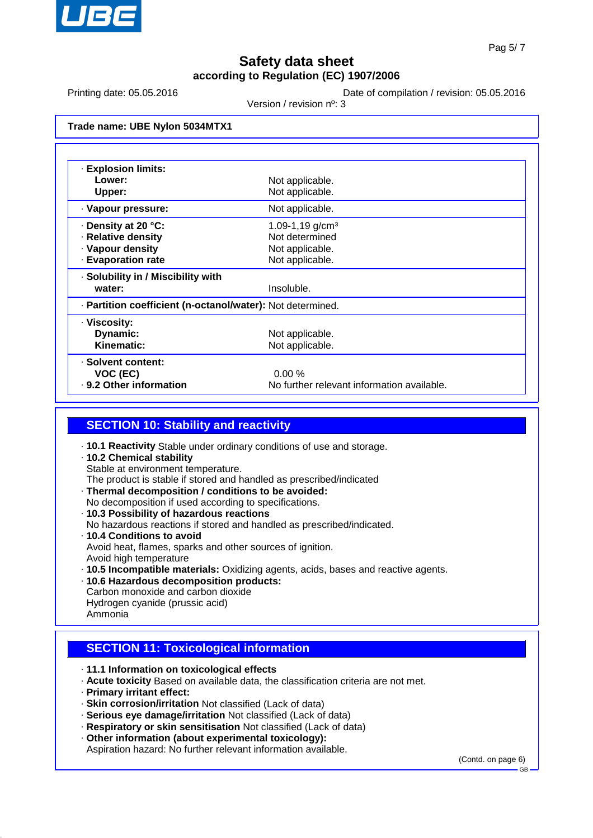

Printing date: 05.05.2016 **Date of compilation / revision: 05.05.2016** 

Version / revision nº: 3

**Trade name: UBE Nylon 5034MTX1**

| <b>Explosion limits:</b>                                   |                                            |  |
|------------------------------------------------------------|--------------------------------------------|--|
| Lower:                                                     | Not applicable.                            |  |
| Upper:                                                     | Not applicable.                            |  |
| · Vapour pressure:                                         | Not applicable.                            |  |
| ⋅ Density at 20 °C:                                        | 1.09-1,19 g/cm <sup>3</sup>                |  |
| · Relative density                                         | Not determined                             |  |
| · Vapour density                                           | Not applicable.                            |  |
| <b>Evaporation rate</b>                                    | Not applicable.                            |  |
| · Solubility in / Miscibility with                         |                                            |  |
| water:                                                     | Insoluble.                                 |  |
| - Partition coefficient (n-octanol/water): Not determined. |                                            |  |
| · Viscosity:                                               |                                            |  |
| Dynamic:                                                   | Not applicable.                            |  |
| Kinematic:                                                 | Not applicable.                            |  |
| · Solvent content:                                         |                                            |  |
| VOC (EC)                                                   | 0.00%                                      |  |
| . 9.2 Other information                                    | No further relevant information available. |  |

### **SECTION 10: Stability and reactivity**

- · **10.1 Reactivity** Stable under ordinary conditions of use and storage.
- · **10.2 Chemical stability** Stable at environment temperature. The product is stable if stored and handled as prescribed/indicated
- · **Thermal decomposition / conditions to be avoided:** No decomposition if used according to specifications.
- · **10.3 Possibility of hazardous reactions**
- No hazardous reactions if stored and handled as prescribed/indicated.
- · **10.4 Conditions to avoid** Avoid heat, flames, sparks and other sources of ignition. Avoid high temperature
- · **10.5 Incompatible materials:** Oxidizing agents, acids, bases and reactive agents.
- · **10.6 Hazardous decomposition products:** Carbon monoxide and carbon dioxide Hydrogen cyanide (prussic acid)

#### Ammonia

# **SECTION 11: Toxicological information**

- · **11.1 Information on toxicological effects**
- · **Acute toxicity** Based on available data, the classification criteria are not met.
- · **Primary irritant effect:**
- · **Skin corrosion/irritation** Not classified (Lack of data)
- · **Serious eye damage/irritation** Not classified (Lack of data)
- · **Respiratory or skin sensitisation** Not classified (Lack of data)
- · **Other information (about experimental toxicology):**

Aspiration hazard: No further relevant information available.

(Contd. on page 6)

GB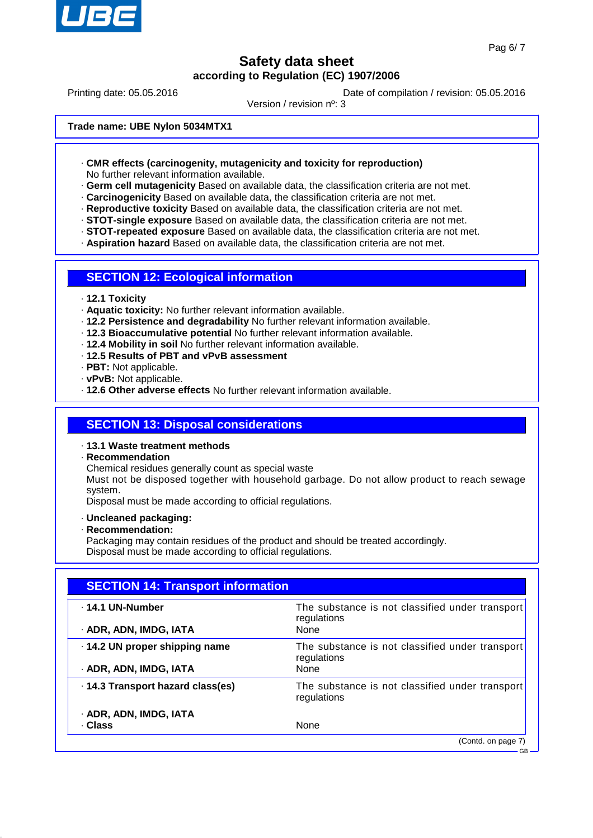

Printing date: 05.05.2016 **Date of compilation / revision: 05.05.2016** 

Version / revision nº: 3

**Trade name: UBE Nylon 5034MTX1**

- · **CMR effects (carcinogenity, mutagenicity and toxicity for reproduction)** No further relevant information available.
- · **Germ cell mutagenicity** Based on available data, the classification criteria are not met.
- · **Carcinogenicity** Based on available data, the classification criteria are not met.
- · **Reproductive toxicity** Based on available data, the classification criteria are not met.
- · **STOT-single exposure** Based on available data, the classification criteria are not met.
- · **STOT-repeated exposure** Based on available data, the classification criteria are not met.
- · **Aspiration hazard** Based on available data, the classification criteria are not met.

#### **SECTION 12: Ecological information**

- · **12.1 Toxicity**
- · **Aquatic toxicity:** No further relevant information available.
- · **12.2 Persistence and degradability** No further relevant information available.
- · **12.3 Bioaccumulative potential** No further relevant information available.
- · **12.4 Mobility in soil** No further relevant information available.
- · **12.5 Results of PBT and vPvB assessment**
- · **PBT:** Not applicable.
- · **vPvB:** Not applicable.
- · **12.6 Other adverse effects** No further relevant information available.

### **SECTION 13: Disposal considerations**

- · **13.1 Waste treatment methods**
- · **Recommendation**
- Chemical residues generally count as special waste

Must not be disposed together with household garbage. Do not allow product to reach sewage system.

Disposal must be made according to official regulations.

- · **Uncleaned packaging:**
- · **Recommendation:**
- Packaging may contain residues of the product and should be treated accordingly. Disposal must be made according to official regulations.

| <b>SECTION 14: Transport information</b> |                                                                |  |
|------------------------------------------|----------------------------------------------------------------|--|
| ⋅ 14.1 UN-Number                         | The substance is not classified under transport<br>regulations |  |
| · ADR, ADN, IMDG, IATA                   | <b>None</b>                                                    |  |
| · 14.2 UN proper shipping name           | The substance is not classified under transport<br>regulations |  |
| · ADR, ADN, IMDG, IATA                   | None                                                           |  |
| .14.3 Transport hazard class(es)         | The substance is not classified under transport<br>regulations |  |
| · ADR, ADN, IMDG, IATA                   |                                                                |  |
| · Class                                  | None                                                           |  |
|                                          | (Contd. on page 7)                                             |  |